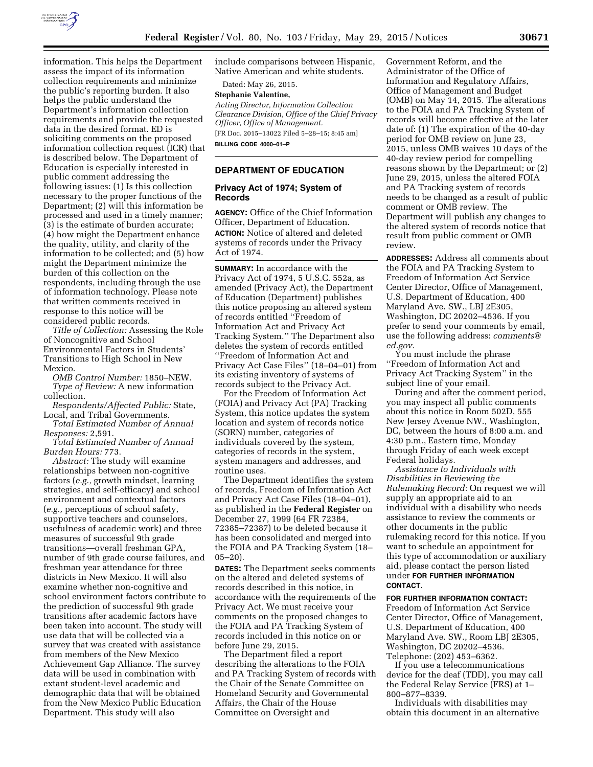

information. This helps the Department assess the impact of its information collection requirements and minimize the public's reporting burden. It also helps the public understand the Department's information collection requirements and provide the requested data in the desired format. ED is soliciting comments on the proposed information collection request (ICR) that is described below. The Department of Education is especially interested in public comment addressing the following issues: (1) Is this collection necessary to the proper functions of the Department; (2) will this information be processed and used in a timely manner; (3) is the estimate of burden accurate; (4) how might the Department enhance the quality, utility, and clarity of the information to be collected; and (5) how might the Department minimize the burden of this collection on the respondents, including through the use of information technology. Please note that written comments received in response to this notice will be considered public records.

*Title of Collection:* Assessing the Role of Noncognitive and School Environmental Factors in Students' Transitions to High School in New Mexico.

*OMB Control Number:* 1850–NEW. *Type of Review:* A new information collection.

*Respondents/Affected Public:* State, Local, and Tribal Governments.

*Total Estimated Number of Annual Responses:* 2,591.

*Total Estimated Number of Annual Burden Hours:* 773.

*Abstract:* The study will examine relationships between non-cognitive factors (*e.g.,* growth mindset, learning strategies, and self-efficacy) and school environment and contextual factors (*e.g.,* perceptions of school safety, supportive teachers and counselors, usefulness of academic work) and three measures of successful 9th grade transitions—overall freshman GPA, number of 9th grade course failures, and freshman year attendance for three districts in New Mexico. It will also examine whether non-cognitive and school environment factors contribute to the prediction of successful 9th grade transitions after academic factors have been taken into account. The study will use data that will be collected via a survey that was created with assistance from members of the New Mexico Achievement Gap Alliance. The survey data will be used in combination with extant student-level academic and demographic data that will be obtained from the New Mexico Public Education Department. This study will also

include comparisons between Hispanic, Native American and white students.

Dated: May 26, 2015.

# **Stephanie Valentine,**

*Acting Director, Information Collection Clearance Division, Office of the Chief Privacy Officer, Office of Management.*  [FR Doc. 2015–13022 Filed 5–28–15; 8:45 am] **BILLING CODE 4000–01–P** 

## **DEPARTMENT OF EDUCATION**

## **Privacy Act of 1974; System of Records**

**AGENCY:** Office of the Chief Information Officer, Department of Education. **ACTION:** Notice of altered and deleted systems of records under the Privacy Act of 1974.

**SUMMARY:** In accordance with the Privacy Act of 1974, 5 U.S.C. 552a, as amended (Privacy Act), the Department of Education (Department) publishes this notice proposing an altered system of records entitled ''Freedom of Information Act and Privacy Act Tracking System.'' The Department also deletes the system of records entitled ''Freedom of Information Act and Privacy Act Case Files'' (18–04–01) from its existing inventory of systems of records subject to the Privacy Act.

For the Freedom of Information Act (FOIA) and Privacy Act (PA) Tracking System, this notice updates the system location and system of records notice (SORN) number, categories of individuals covered by the system, categories of records in the system, system managers and addresses, and routine uses.

The Department identifies the system of records, Freedom of Information Act and Privacy Act Case Files (18–04–01), as published in the **Federal Register** on December 27, 1999 (64 FR 72384, 72385–72387) to be deleted because it has been consolidated and merged into the FOIA and PA Tracking System (18– 05–20).

**DATES:** The Department seeks comments on the altered and deleted systems of records described in this notice, in accordance with the requirements of the Privacy Act. We must receive your comments on the proposed changes to the FOIA and PA Tracking System of records included in this notice on or before June 29, 2015.

The Department filed a report describing the alterations to the FOIA and PA Tracking System of records with the Chair of the Senate Committee on Homeland Security and Governmental Affairs, the Chair of the House Committee on Oversight and

Government Reform, and the Administrator of the Office of Information and Regulatory Affairs, Office of Management and Budget (OMB) on May 14, 2015. The alterations to the FOIA and PA Tracking System of records will become effective at the later date of: (1) The expiration of the 40-day period for OMB review on June 23, 2015, unless OMB waives 10 days of the 40-day review period for compelling reasons shown by the Department; or (2) June 29, 2015, unless the altered FOIA and PA Tracking system of records needs to be changed as a result of public comment or OMB review. The Department will publish any changes to the altered system of records notice that result from public comment or OMB review.

**ADDRESSES:** Address all comments about the FOIA and PA Tracking System to Freedom of Information Act Service Center Director, Office of Management, U.S. Department of Education, 400 Maryland Ave. SW., LBJ 2E305, Washington, DC 20202–4536. If you prefer to send your comments by email, use the following address: *[comments@](mailto:comments@ed.gov) [ed.gov.](mailto:comments@ed.gov)* 

You must include the phrase ''Freedom of Information Act and Privacy Act Tracking System'' in the subject line of your email.

During and after the comment period, you may inspect all public comments about this notice in Room 502D, 555 New Jersey Avenue NW., Washington, DC, between the hours of 8:00 a.m. and 4:30 p.m., Eastern time, Monday through Friday of each week except Federal holidays.

*Assistance to Individuals with Disabilities in Reviewing the Rulemaking Record:* On request we will supply an appropriate aid to an individual with a disability who needs assistance to review the comments or other documents in the public rulemaking record for this notice. If you want to schedule an appointment for this type of accommodation or auxiliary aid, please contact the person listed under **FOR FURTHER INFORMATION CONTACT**.

## **FOR FURTHER INFORMATION CONTACT:**

Freedom of Information Act Service Center Director, Office of Management, U.S. Department of Education, 400 Maryland Ave. SW., Room LBJ 2E305, Washington, DC 20202–4536. Telephone: (202) 453–6362.

If you use a telecommunications device for the deaf (TDD), you may call the Federal Relay Service (FRS) at 1– 800–877–8339.

Individuals with disabilities may obtain this document in an alternative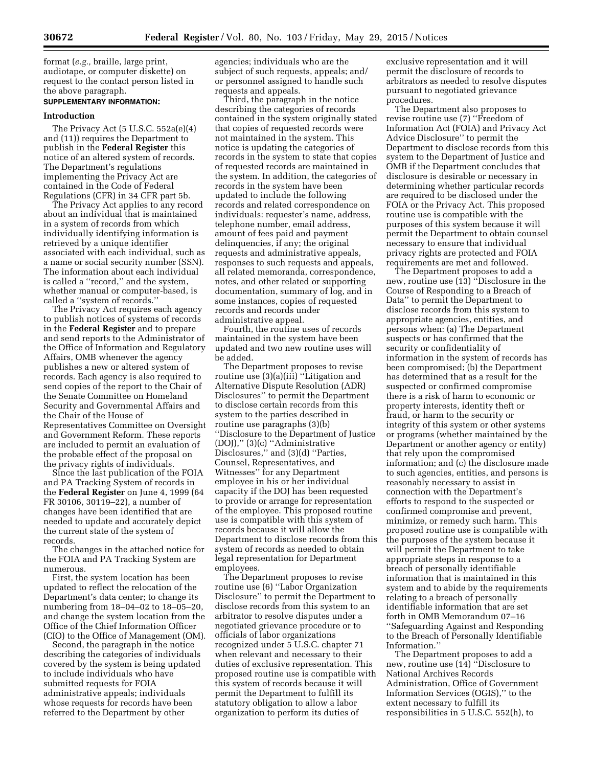format (*e.g.,* braille, large print, audiotape, or computer diskette) on request to the contact person listed in the above paragraph.

## **SUPPLEMENTARY INFORMATION:**

#### **Introduction**

The Privacy Act (5 U.S.C. 552a(e)(4) and (11)) requires the Department to publish in the **Federal Register** this notice of an altered system of records. The Department's regulations implementing the Privacy Act are contained in the Code of Federal Regulations (CFR) in 34 CFR part 5b.

The Privacy Act applies to any record about an individual that is maintained in a system of records from which individually identifying information is retrieved by a unique identifier associated with each individual, such as a name or social security number (SSN). The information about each individual is called a ''record,'' and the system, whether manual or computer-based, is called a ''system of records.''

The Privacy Act requires each agency to publish notices of systems of records in the **Federal Register** and to prepare and send reports to the Administrator of the Office of Information and Regulatory Affairs, OMB whenever the agency publishes a new or altered system of records. Each agency is also required to send copies of the report to the Chair of the Senate Committee on Homeland Security and Governmental Affairs and the Chair of the House of Representatives Committee on Oversight and Government Reform. These reports are included to permit an evaluation of the probable effect of the proposal on the privacy rights of individuals.

Since the last publication of the FOIA and PA Tracking System of records in the **Federal Register** on June 4, 1999 (64 FR 30106, 30119–22), a number of changes have been identified that are needed to update and accurately depict the current state of the system of records.

The changes in the attached notice for the FOIA and PA Tracking System are numerous.

First, the system location has been updated to reflect the relocation of the Department's data center; to change its numbering from 18–04–02 to 18–05–20, and change the system location from the Office of the Chief Information Officer (CIO) to the Office of Management (OM).

Second, the paragraph in the notice describing the categories of individuals covered by the system is being updated to include individuals who have submitted requests for FOIA administrative appeals; individuals whose requests for records have been referred to the Department by other

agencies; individuals who are the subject of such requests, appeals; and/ or personnel assigned to handle such requests and appeals.

Third, the paragraph in the notice describing the categories of records contained in the system originally stated that copies of requested records were not maintained in the system. This notice is updating the categories of records in the system to state that copies of requested records are maintained in the system. In addition, the categories of records in the system have been updated to include the following records and related correspondence on individuals: requester's name, address, telephone number, email address, amount of fees paid and payment delinquencies, if any; the original requests and administrative appeals, responses to such requests and appeals, all related memoranda, correspondence, notes, and other related or supporting documentation, summary of log, and in some instances, copies of requested records and records under administrative appeal.

Fourth, the routine uses of records maintained in the system have been updated and two new routine uses will be added.

The Department proposes to revise routine use (3)(a)(iii) ''Litigation and Alternative Dispute Resolution (ADR) Disclosures'' to permit the Department to disclose certain records from this system to the parties described in routine use paragraphs (3)(b) ''Disclosure to the Department of Justice (DOJ),'' (3)(c) ''Administrative Disclosures," and (3)(d) "Parties, Counsel, Representatives, and Witnesses'' for any Department employee in his or her individual capacity if the DOJ has been requested to provide or arrange for representation of the employee. This proposed routine use is compatible with this system of records because it will allow the Department to disclose records from this system of records as needed to obtain legal representation for Department employees.

The Department proposes to revise routine use (6) ''Labor Organization Disclosure'' to permit the Department to disclose records from this system to an arbitrator to resolve disputes under a negotiated grievance procedure or to officials of labor organizations recognized under 5 U.S.C. chapter 71 when relevant and necessary to their duties of exclusive representation. This proposed routine use is compatible with this system of records because it will permit the Department to fulfill its statutory obligation to allow a labor organization to perform its duties of

exclusive representation and it will permit the disclosure of records to arbitrators as needed to resolve disputes pursuant to negotiated grievance procedures.

The Department also proposes to revise routine use (7) ''Freedom of Information Act (FOIA) and Privacy Act Advice Disclosure'' to permit the Department to disclose records from this system to the Department of Justice and OMB if the Department concludes that disclosure is desirable or necessary in determining whether particular records are required to be disclosed under the FOIA or the Privacy Act. This proposed routine use is compatible with the purposes of this system because it will permit the Department to obtain counsel necessary to ensure that individual privacy rights are protected and FOIA requirements are met and followed.

The Department proposes to add a new, routine use (13) ''Disclosure in the Course of Responding to a Breach of Data'' to permit the Department to disclose records from this system to appropriate agencies, entities, and persons when: (a) The Department suspects or has confirmed that the security or confidentiality of information in the system of records has been compromised; (b) the Department has determined that as a result for the suspected or confirmed compromise there is a risk of harm to economic or property interests, identity theft or fraud, or harm to the security or integrity of this system or other systems or programs (whether maintained by the Department or another agency or entity) that rely upon the compromised information; and (c) the disclosure made to such agencies, entities, and persons is reasonably necessary to assist in connection with the Department's efforts to respond to the suspected or confirmed compromise and prevent, minimize, or remedy such harm. This proposed routine use is compatible with the purposes of the system because it will permit the Department to take appropriate steps in response to a breach of personally identifiable information that is maintained in this system and to abide by the requirements relating to a breach of personally identifiable information that are set forth in OMB Memorandum 07–16 ''Safeguarding Against and Responding to the Breach of Personally Identifiable Information.''

The Department proposes to add a new, routine use (14) ''Disclosure to National Archives Records Administration, Office of Government Information Services (OGIS),'' to the extent necessary to fulfill its responsibilities in 5 U.S.C. 552(h), to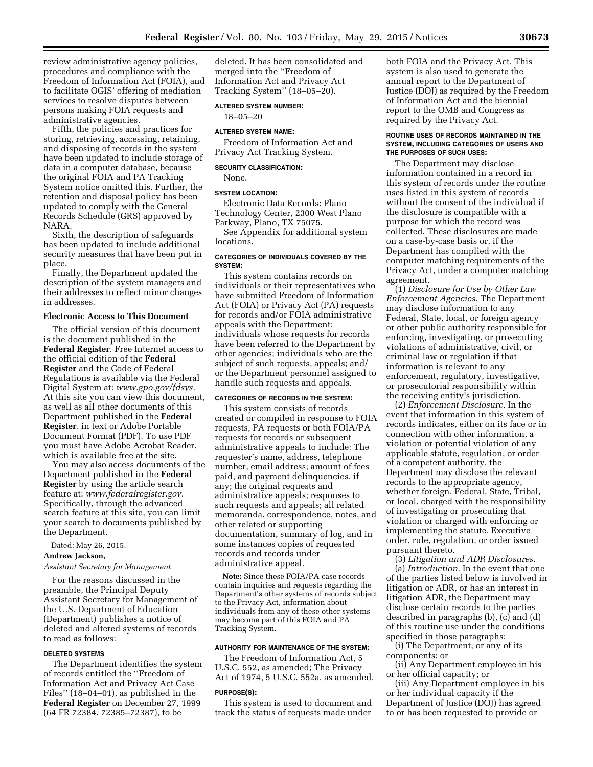review administrative agency policies, procedures and compliance with the Freedom of Information Act (FOIA), and to facilitate OGIS' offering of mediation services to resolve disputes between persons making FOIA requests and administrative agencies.

Fifth, the policies and practices for storing, retrieving, accessing, retaining, and disposing of records in the system have been updated to include storage of data in a computer database, because the original FOIA and PA Tracking System notice omitted this. Further, the retention and disposal policy has been updated to comply with the General Records Schedule (GRS) approved by NARA.

Sixth, the description of safeguards has been updated to include additional security measures that have been put in place.

Finally, the Department updated the description of the system managers and their addresses to reflect minor changes in addresses.

#### **Electronic Access to This Document**

The official version of this document is the document published in the **Federal Register**. Free Internet access to the official edition of the **Federal Register** and the Code of Federal Regulations is available via the Federal Digital System at: *[www.gpo.gov/fdsys.](http://www.gpo.gov/fdsys)*  At this site you can view this document, as well as all other documents of this Department published in the **Federal Register**, in text or Adobe Portable Document Format (PDF). To use PDF you must have Adobe Acrobat Reader, which is available free at the site.

You may also access documents of the Department published in the **Federal Register** by using the article search feature at: *[www.federalregister.gov.](http://www.federalregister.gov)*  Specifically, through the advanced search feature at this site, you can limit your search to documents published by the Department.

Dated: May 26, 2015.

#### **Andrew Jackson,**

#### *Assistant Secretary for Management.*

For the reasons discussed in the preamble, the Principal Deputy Assistant Secretary for Management of the U.S. Department of Education (Department) publishes a notice of deleted and altered systems of records to read as follows:

#### **DELETED SYSTEMS**

The Department identifies the system of records entitled the ''Freedom of Information Act and Privacy Act Case Files'' (18–04–01), as published in the **Federal Register** on December 27, 1999 (64 FR 72384, 72385–72387), to be

deleted. It has been consolidated and merged into the ''Freedom of Information Act and Privacy Act Tracking System'' (18–05–20).

#### **ALTERED SYSTEM NUMBER:**

18–05–20

## **ALTERED SYSTEM NAME:**

Freedom of Information Act and Privacy Act Tracking System.

#### **SECURITY CLASSIFICATION:**

None.

#### **SYSTEM LOCATION:**

Electronic Data Records: Plano Technology Center, 2300 West Plano Parkway, Plano, TX 75075.

See Appendix for additional system locations.

#### **CATEGORIES OF INDIVIDUALS COVERED BY THE SYSTEM:**

This system contains records on individuals or their representatives who have submitted Freedom of Information Act (FOIA) or Privacy Act (PA) requests for records and/or FOIA administrative appeals with the Department; individuals whose requests for records have been referred to the Department by other agencies; individuals who are the subject of such requests, appeals; and/ or the Department personnel assigned to handle such requests and appeals.

## **CATEGORIES OF RECORDS IN THE SYSTEM:**

This system consists of records created or compiled in response to FOIA requests, PA requests or both FOIA/PA requests for records or subsequent administrative appeals to include: The requester's name, address, telephone number, email address; amount of fees paid, and payment delinquencies, if any; the original requests and administrative appeals; responses to such requests and appeals; all related memoranda, correspondence, notes, and other related or supporting documentation, summary of log, and in some instances copies of requested records and records under administrative appeal.

**Note:** Since these FOIA/PA case records contain inquiries and requests regarding the Department's other systems of records subject to the Privacy Act, information about individuals from any of these other systems may become part of this FOIA and PA Tracking System.

#### **AUTHORITY FOR MAINTENANCE OF THE SYSTEM:**

The Freedom of Information Act, 5 U.S.C. 552, as amended; The Privacy Act of 1974, 5 U.S.C. 552a, as amended.

#### **PURPOSE(S):**

This system is used to document and track the status of requests made under both FOIA and the Privacy Act. This system is also used to generate the annual report to the Department of Justice (DOJ) as required by the Freedom of Information Act and the biennial report to the OMB and Congress as required by the Privacy Act.

### **ROUTINE USES OF RECORDS MAINTAINED IN THE SYSTEM, INCLUDING CATEGORIES OF USERS AND THE PURPOSES OF SUCH USES:**

The Department may disclose information contained in a record in this system of records under the routine uses listed in this system of records without the consent of the individual if the disclosure is compatible with a purpose for which the record was collected. These disclosures are made on a case-by-case basis or, if the Department has complied with the computer matching requirements of the Privacy Act, under a computer matching agreement.

(1) *Disclosure for Use by Other Law Enforcement Agencies.* The Department may disclose information to any Federal, State, local, or foreign agency or other public authority responsible for enforcing, investigating, or prosecuting violations of administrative, civil, or criminal law or regulation if that information is relevant to any enforcement, regulatory, investigative, or prosecutorial responsibility within the receiving entity's jurisdiction.

(2) *Enforcement Disclosure.* In the event that information in this system of records indicates, either on its face or in connection with other information, a violation or potential violation of any applicable statute, regulation, or order of a competent authority, the Department may disclose the relevant records to the appropriate agency, whether foreign, Federal, State, Tribal, or local, charged with the responsibility of investigating or prosecuting that violation or charged with enforcing or implementing the statute, Executive order, rule, regulation, or order issued pursuant thereto.

(3) *Litigation and ADR Disclosures.* 

(a) *Introduction.* In the event that one of the parties listed below is involved in litigation or ADR, or has an interest in litigation ADR, the Department may disclose certain records to the parties described in paragraphs (b), (c) and (d) of this routine use under the conditions specified in those paragraphs:

(i) The Department, or any of its components; or

(ii) Any Department employee in his or her official capacity; or

(iii) Any Department employee in his or her individual capacity if the Department of Justice (DOJ) has agreed to or has been requested to provide or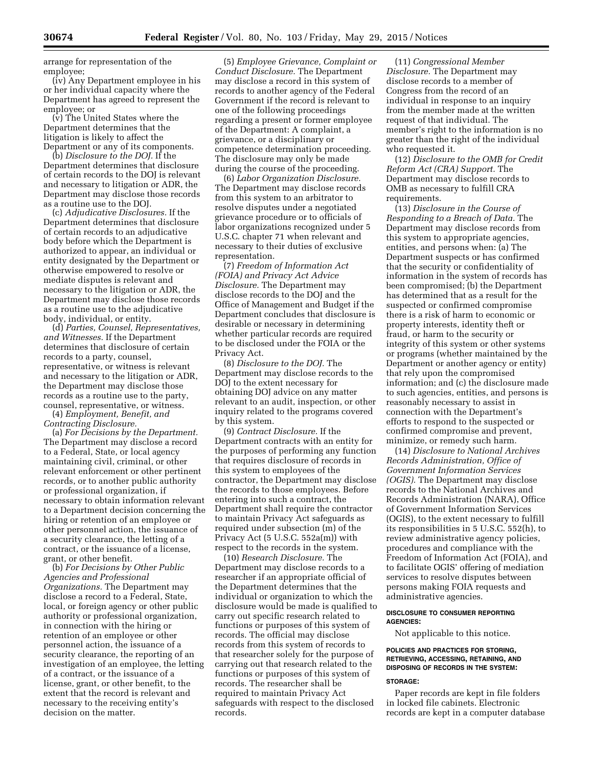arrange for representation of the employee;

(iv) Any Department employee in his or her individual capacity where the Department has agreed to represent the employee; or

(v) The United States where the Department determines that the litigation is likely to affect the Department or any of its components.

(b) *Disclosure to the DOJ.* If the Department determines that disclosure of certain records to the DOJ is relevant and necessary to litigation or ADR, the Department may disclose those records as a routine use to the DOJ.

(c) *Adjudicative Disclosures.* If the Department determines that disclosure of certain records to an adjudicative body before which the Department is authorized to appear, an individual or entity designated by the Department or otherwise empowered to resolve or mediate disputes is relevant and necessary to the litigation or ADR, the Department may disclose those records as a routine use to the adjudicative body, individual, or entity.

(d) *Parties, Counsel, Representatives, and Witnesses.* If the Department determines that disclosure of certain records to a party, counsel, representative, or witness is relevant and necessary to the litigation or ADR, the Department may disclose those records as a routine use to the party, counsel, representative, or witness.

(4) *Employment, Benefit, and Contracting Disclosure.* 

(a) *For Decisions by the Department.*  The Department may disclose a record to a Federal, State, or local agency maintaining civil, criminal, or other relevant enforcement or other pertinent records, or to another public authority or professional organization, if necessary to obtain information relevant to a Department decision concerning the hiring or retention of an employee or other personnel action, the issuance of a security clearance, the letting of a contract, or the issuance of a license, grant, or other benefit.

(b) *For Decisions by Other Public Agencies and Professional Organizations.* The Department may disclose a record to a Federal, State, local, or foreign agency or other public authority or professional organization, in connection with the hiring or retention of an employee or other personnel action, the issuance of a security clearance, the reporting of an investigation of an employee, the letting of a contract, or the issuance of a license, grant, or other benefit, to the extent that the record is relevant and necessary to the receiving entity's decision on the matter.

(5) *Employee Grievance, Complaint or Conduct Disclosure.* The Department may disclose a record in this system of records to another agency of the Federal Government if the record is relevant to one of the following proceedings regarding a present or former employee of the Department: A complaint, a grievance, or a disciplinary or competence determination proceeding. The disclosure may only be made during the course of the proceeding.

(6) *Labor Organization Disclosure.*  The Department may disclose records from this system to an arbitrator to resolve disputes under a negotiated grievance procedure or to officials of labor organizations recognized under 5 U.S.C. chapter 71 when relevant and necessary to their duties of exclusive representation.

(7) *Freedom of Information Act (FOIA) and Privacy Act Advice Disclosure.* The Department may disclose records to the DOJ and the Office of Management and Budget if the Department concludes that disclosure is desirable or necessary in determining whether particular records are required to be disclosed under the FOIA or the Privacy Act.

(8) *Disclosure to the DOJ.* The Department may disclose records to the DOJ to the extent necessary for obtaining DOJ advice on any matter relevant to an audit, inspection, or other inquiry related to the programs covered by this system.

(9) *Contract Disclosure.* If the Department contracts with an entity for the purposes of performing any function that requires disclosure of records in this system to employees of the contractor, the Department may disclose the records to those employees. Before entering into such a contract, the Department shall require the contractor to maintain Privacy Act safeguards as required under subsection (m) of the Privacy Act (5 U.S.C. 552a(m)) with respect to the records in the system.

(10) *Research Disclosure.* The Department may disclose records to a researcher if an appropriate official of the Department determines that the individual or organization to which the disclosure would be made is qualified to carry out specific research related to functions or purposes of this system of records. The official may disclose records from this system of records to that researcher solely for the purpose of carrying out that research related to the functions or purposes of this system of records. The researcher shall be required to maintain Privacy Act safeguards with respect to the disclosed records.

(11) *Congressional Member Disclosure.* The Department may disclose records to a member of Congress from the record of an individual in response to an inquiry from the member made at the written request of that individual. The member's right to the information is no greater than the right of the individual who requested it.

(12) *Disclosure to the OMB for Credit Reform Act (CRA) Support.* The Department may disclose records to OMB as necessary to fulfill CRA requirements.

(13) *Disclosure in the Course of Responding to a Breach of Data.* The Department may disclose records from this system to appropriate agencies, entities, and persons when: (a) The Department suspects or has confirmed that the security or confidentiality of information in the system of records has been compromised; (b) the Department has determined that as a result for the suspected or confirmed compromise there is a risk of harm to economic or property interests, identity theft or fraud, or harm to the security or integrity of this system or other systems or programs (whether maintained by the Department or another agency or entity) that rely upon the compromised information; and (c) the disclosure made to such agencies, entities, and persons is reasonably necessary to assist in connection with the Department's efforts to respond to the suspected or confirmed compromise and prevent, minimize, or remedy such harm.

(14) *Disclosure to National Archives Records Administration, Office of Government Information Services (OGIS).* The Department may disclose records to the National Archives and Records Administration (NARA), Office of Government Information Services (OGIS), to the extent necessary to fulfill its responsibilities in 5 U.S.C. 552(h), to review administrative agency policies, procedures and compliance with the Freedom of Information Act (FOIA), and to facilitate OGIS' offering of mediation services to resolve disputes between persons making FOIA requests and administrative agencies.

### **DISCLOSURE TO CONSUMER REPORTING AGENCIES:**

Not applicable to this notice.

### **POLICIES AND PRACTICES FOR STORING, RETRIEVING, ACCESSING, RETAINING, AND DISPOSING OF RECORDS IN THE SYSTEM:**

## **STORAGE:**

Paper records are kept in file folders in locked file cabinets. Electronic records are kept in a computer database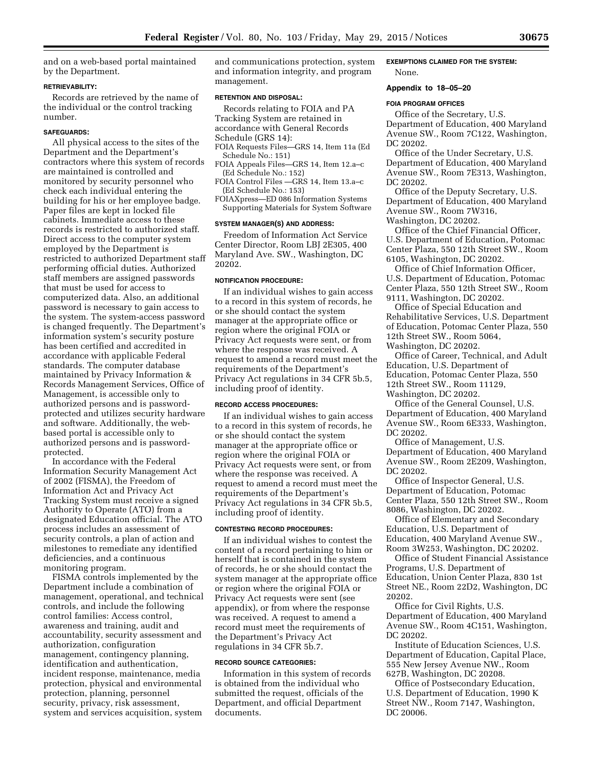and on a web-based portal maintained by the Department.

#### **RETRIEVABILITY:**

Records are retrieved by the name of the individual or the control tracking number.

## **SAFEGUARDS:**

All physical access to the sites of the Department and the Department's contractors where this system of records are maintained is controlled and monitored by security personnel who check each individual entering the building for his or her employee badge. Paper files are kept in locked file cabinets. Immediate access to these records is restricted to authorized staff. Direct access to the computer system employed by the Department is restricted to authorized Department staff performing official duties. Authorized staff members are assigned passwords that must be used for access to computerized data. Also, an additional password is necessary to gain access to the system. The system-access password is changed frequently. The Department's information system's security posture has been certified and accredited in accordance with applicable Federal standards. The computer database maintained by Privacy Information & Records Management Services, Office of Management, is accessible only to authorized persons and is passwordprotected and utilizes security hardware and software. Additionally, the webbased portal is accessible only to authorized persons and is passwordprotected.

In accordance with the Federal Information Security Management Act of 2002 (FISMA), the Freedom of Information Act and Privacy Act Tracking System must receive a signed Authority to Operate (ATO) from a designated Education official. The ATO process includes an assessment of security controls, a plan of action and milestones to remediate any identified deficiencies, and a continuous monitoring program.

FISMA controls implemented by the Department include a combination of management, operational, and technical controls, and include the following control families: Access control, awareness and training, audit and accountability, security assessment and authorization, configuration management, contingency planning, identification and authentication, incident response, maintenance, media protection, physical and environmental protection, planning, personnel security, privacy, risk assessment, system and services acquisition, system

and communications protection, system and information integrity, and program management.

### **RETENTION AND DISPOSAL:**

Records relating to FOIA and PA Tracking System are retained in

accordance with General Records

Schedule (GRS 14):

- FOIA Requests Files—GRS 14, Item 11a (Ed Schedule No.: 151)
- FOIA Appeals Files—GRS 14, Item 12.a–c (Ed Schedule No.: 152)
- FOIA Control Files —GRS 14, Item 13.a–c (Ed Schedule No.: 153)
- FOIAXpress—ED 086 Information Systems Supporting Materials for System Software

## **SYSTEM MANAGER(S) AND ADDRESS:**

Freedom of Information Act Service Center Director, Room LBJ 2E305, 400 Maryland Ave. SW., Washington, DC 20202.

#### **NOTIFICATION PROCEDURE:**

If an individual wishes to gain access to a record in this system of records, he or she should contact the system manager at the appropriate office or region where the original FOIA or Privacy Act requests were sent, or from where the response was received. A request to amend a record must meet the requirements of the Department's Privacy Act regulations in 34 CFR 5b.5, including proof of identity.

#### **RECORD ACCESS PROCEDURES:**

If an individual wishes to gain access to a record in this system of records, he or she should contact the system manager at the appropriate office or region where the original FOIA or Privacy Act requests were sent, or from where the response was received. A request to amend a record must meet the requirements of the Department's Privacy Act regulations in 34 CFR 5b.5, including proof of identity.

## **CONTESTING RECORD PROCEDURES:**

If an individual wishes to contest the content of a record pertaining to him or herself that is contained in the system of records, he or she should contact the system manager at the appropriate office or region where the original FOIA or Privacy Act requests were sent (see appendix), or from where the response was received. A request to amend a record must meet the requirements of the Department's Privacy Act regulations in 34 CFR 5b.7.

### **RECORD SOURCE CATEGORIES:**

Information in this system of records is obtained from the individual who submitted the request, officials of the Department, and official Department documents.

### **EXEMPTIONS CLAIMED FOR THE SYSTEM:**  None.

## **Appendix to 18–05–20**

#### **FOIA PROGRAM OFFICES**

Office of the Secretary, U.S. Department of Education, 400 Maryland Avenue SW., Room 7C122, Washington, DC 20202.

Office of the Under Secretary, U.S. Department of Education, 400 Maryland Avenue SW., Room 7E313, Washington, DC 20202.

Office of the Deputy Secretary, U.S. Department of Education, 400 Maryland Avenue SW., Room 7W316, Washington, DC 20202.

Office of the Chief Financial Officer, U.S. Department of Education, Potomac Center Plaza, 550 12th Street SW., Room 6105, Washington, DC 20202.

Office of Chief Information Officer, U.S. Department of Education, Potomac Center Plaza, 550 12th Street SW., Room 9111, Washington, DC 20202.

Office of Special Education and Rehabilitative Services, U.S. Department of Education, Potomac Center Plaza, 550 12th Street SW., Room 5064, Washington, DC 20202.

Office of Career, Technical, and Adult Education, U.S. Department of Education, Potomac Center Plaza, 550 12th Street SW., Room 11129, Washington, DC 20202.

Office of the General Counsel, U.S. Department of Education, 400 Maryland Avenue SW., Room 6E333, Washington, DC 20202.

Office of Management, U.S. Department of Education, 400 Maryland Avenue SW., Room 2E209, Washington, DC 20202.

Office of Inspector General, U.S. Department of Education, Potomac Center Plaza, 550 12th Street SW., Room 8086, Washington, DC 20202.

Office of Elementary and Secondary Education, U.S. Department of Education, 400 Maryland Avenue SW., Room 3W253, Washington, DC 20202.

Office of Student Financial Assistance Programs, U.S. Department of Education, Union Center Plaza, 830 1st Street NE., Room 22D2, Washington, DC 20202.

Office for Civil Rights, U.S. Department of Education, 400 Maryland Avenue SW., Room 4C151, Washington, DC 20202.

Institute of Education Sciences, U.S. Department of Education, Capital Place, 555 New Jersey Avenue NW., Room 627B, Washington, DC 20208.

Office of Postsecondary Education, U.S. Department of Education, 1990 K Street NW., Room 7147, Washington, DC 20006.